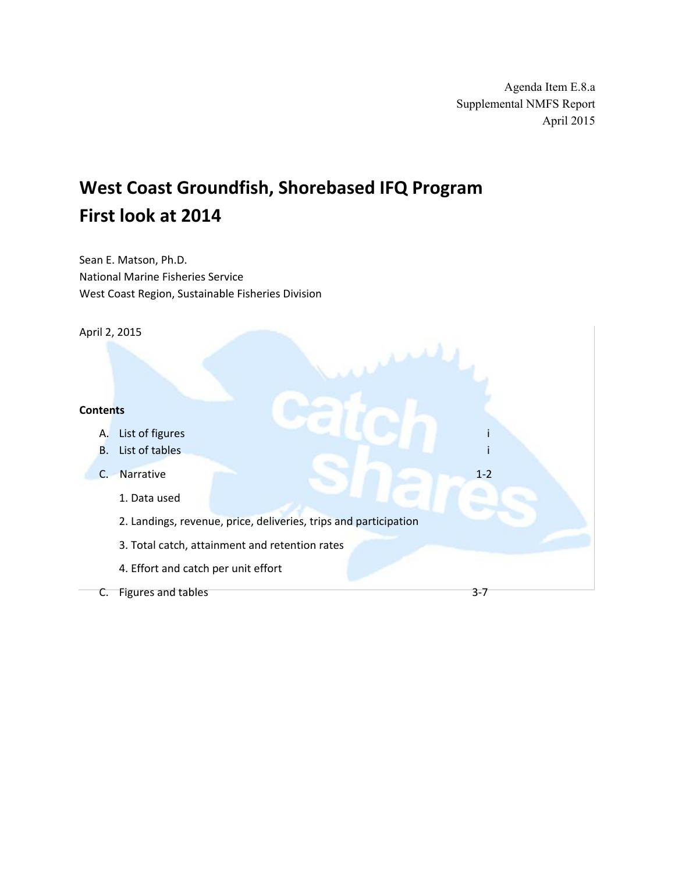Agenda Item E.8.a Supplemental NMFS Report April 2015

# **West Coast Groundfish, Shorebased IFQ Program First look at 2014**

Sean E. Matson, Ph.D. National Marine Fisheries Service West Coast Region, Sustainable Fisheries Division

April 2, 2015

#### **Contents**

- A. List of figures
- B. List of tables i

C. Narrative 1-2

- 1. Data used
- 2. Landings, revenue, price, deliveries, trips and participation
- 3. Total catch, attainment and retention rates
- 4. Effort and catch per unit effort
- C. Figures and tables 3-7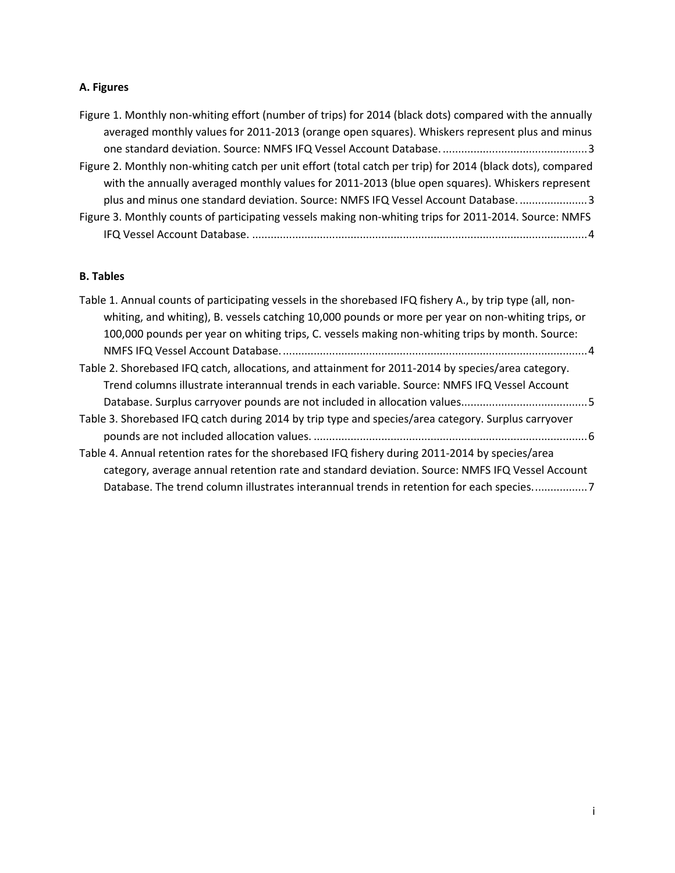## **A. Figures**

| Figure 1. Monthly non-whiting effort (number of trips) for 2014 (black dots) compared with the annually    |
|------------------------------------------------------------------------------------------------------------|
| averaged monthly values for 2011-2013 (orange open squares). Whiskers represent plus and minus             |
|                                                                                                            |
| Figure 2. Monthly non-whiting catch per unit effort (total catch per trip) for 2014 (black dots), compared |
| with the annually averaged monthly values for 2011-2013 (blue open squares). Whiskers represent            |
| plus and minus one standard deviation. Source: NMFS IFQ Vessel Account Database 3                          |
| Figure 3. Monthly counts of participating vessels making non-whiting trips for 2011-2014. Source: NMFS     |
|                                                                                                            |

## **B. Tables**

| Table 1. Annual counts of participating vessels in the shorebased IFQ fishery A., by trip type (all, non- |
|-----------------------------------------------------------------------------------------------------------|
| whiting, and whiting), B. vessels catching 10,000 pounds or more per year on non-whiting trips, or        |
| 100,000 pounds per year on whiting trips, C. vessels making non-whiting trips by month. Source:           |
|                                                                                                           |
| Table 2. Shorebased IFQ catch, allocations, and attainment for 2011-2014 by species/area category.        |
| Trend columns illustrate interannual trends in each variable. Source: NMFS IFQ Vessel Account             |
|                                                                                                           |
| Table 3. Shorebased IFQ catch during 2014 by trip type and species/area category. Surplus carryover       |
|                                                                                                           |
| Table 4. Annual retention rates for the shorebased IFQ fishery during 2011-2014 by species/area           |
| category, average annual retention rate and standard deviation. Source: NMFS IFQ Vessel Account           |
| Database. The trend column illustrates interannual trends in retention for each species7                  |
|                                                                                                           |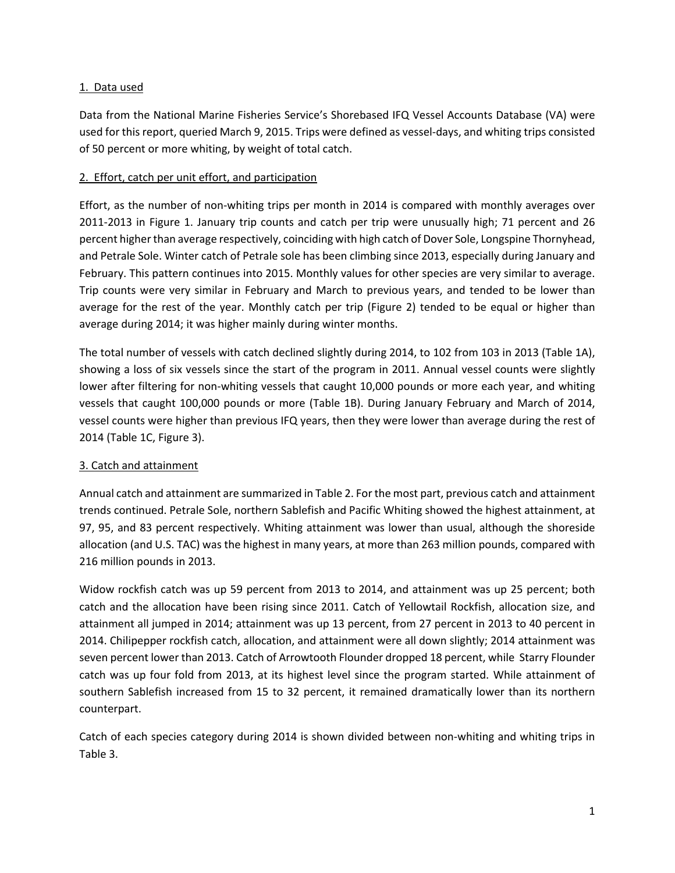#### 1. Data used

Data from the National Marine Fisheries Service's Shorebased IFQ Vessel Accounts Database (VA) were used for this report, queried March 9, 2015. Trips were defined as vessel-days, and whiting trips consisted of 50 percent or more whiting, by weight of total catch.

#### 2. Effort, catch per unit effort, and participation

Effort, as the number of non-whiting trips per month in 2014 is compared with monthly averages over 2011-2013 in Figure 1. January trip counts and catch per trip were unusually high; 71 percent and 26 percent higher than average respectively, coinciding with high catch of Dover Sole, Longspine Thornyhead, and Petrale Sole. Winter catch of Petrale sole has been climbing since 2013, especially during January and February. This pattern continues into 2015. Monthly values for other species are very similar to average. Trip counts were very similar in February and March to previous years, and tended to be lower than average for the rest of the year. Monthly catch per trip (Figure 2) tended to be equal or higher than average during 2014; it was higher mainly during winter months.

The total number of vessels with catch declined slightly during 2014, to 102 from 103 in 2013 (Table 1A), showing a loss of six vessels since the start of the program in 2011. Annual vessel counts were slightly lower after filtering for non-whiting vessels that caught 10,000 pounds or more each year, and whiting vessels that caught 100,000 pounds or more (Table 1B). During January February and March of 2014, vessel counts were higher than previous IFQ years, then they were lower than average during the rest of 2014 (Table 1C, Figure 3).

### 3. Catch and attainment

Annual catch and attainment are summarized in Table 2. For the most part, previous catch and attainment trends continued. Petrale Sole, northern Sablefish and Pacific Whiting showed the highest attainment, at 97, 95, and 83 percent respectively. Whiting attainment was lower than usual, although the shoreside allocation (and U.S. TAC) was the highest in many years, at more than 263 million pounds, compared with 216 million pounds in 2013.

Widow rockfish catch was up 59 percent from 2013 to 2014, and attainment was up 25 percent; both catch and the allocation have been rising since 2011. Catch of Yellowtail Rockfish, allocation size, and attainment all jumped in 2014; attainment was up 13 percent, from 27 percent in 2013 to 40 percent in 2014. Chilipepper rockfish catch, allocation, and attainment were all down slightly; 2014 attainment was seven percent lower than 2013. Catch of Arrowtooth Flounder dropped 18 percent, while Starry Flounder catch was up four fold from 2013, at its highest level since the program started. While attainment of southern Sablefish increased from 15 to 32 percent, it remained dramatically lower than its northern counterpart.

Catch of each species category during 2014 is shown divided between non-whiting and whiting trips in Table 3.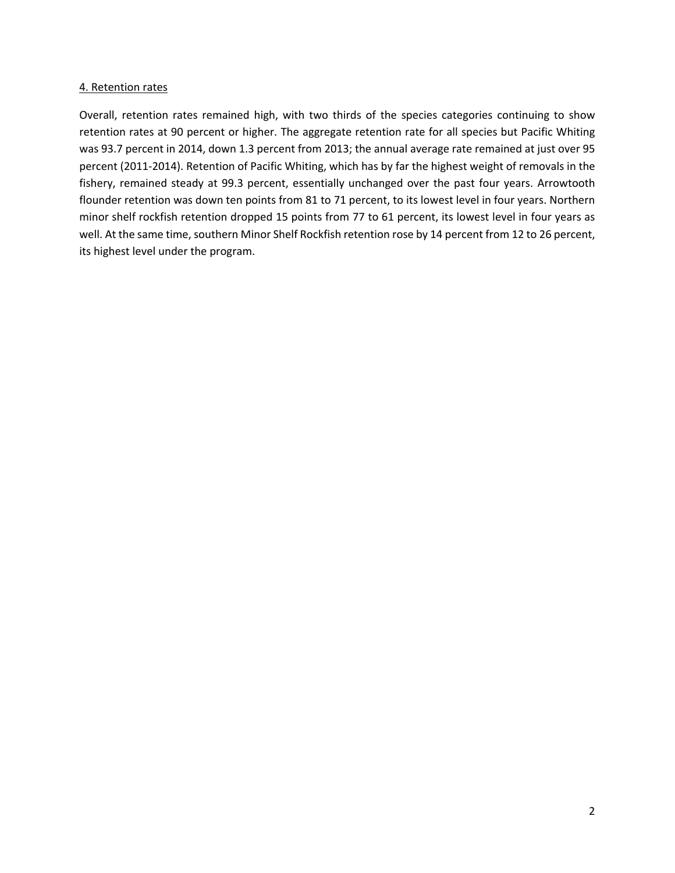#### 4. Retention rates

Overall, retention rates remained high, with two thirds of the species categories continuing to show retention rates at 90 percent or higher. The aggregate retention rate for all species but Pacific Whiting was 93.7 percent in 2014, down 1.3 percent from 2013; the annual average rate remained at just over 95 percent (2011-2014). Retention of Pacific Whiting, which has by far the highest weight of removals in the fishery, remained steady at 99.3 percent, essentially unchanged over the past four years. Arrowtooth flounder retention was down ten points from 81 to 71 percent, to its lowest level in four years. Northern minor shelf rockfish retention dropped 15 points from 77 to 61 percent, its lowest level in four years as well. At the same time, southern Minor Shelf Rockfish retention rose by 14 percent from 12 to 26 percent, its highest level under the program.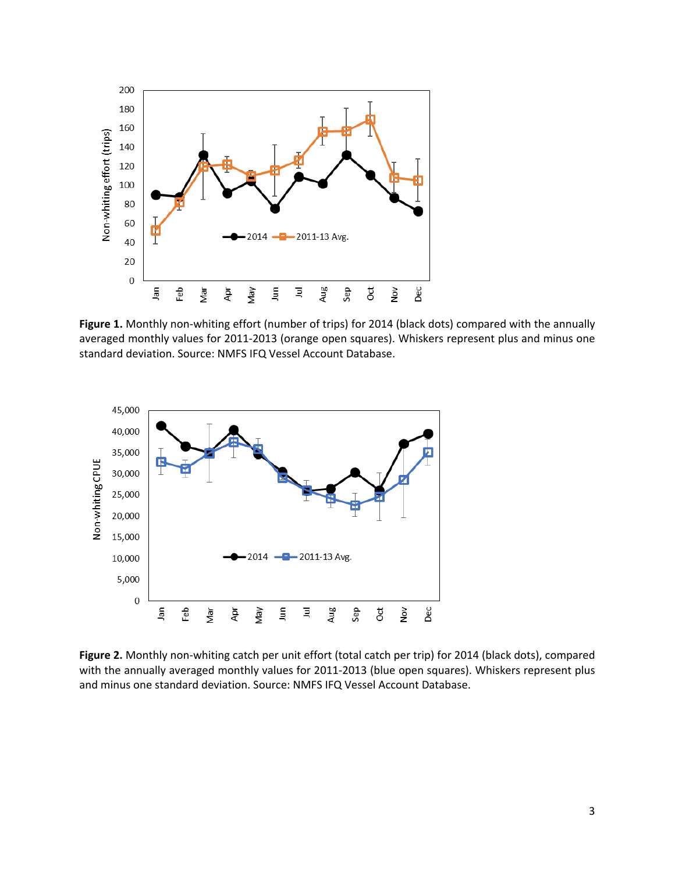

<span id="page-4-0"></span>**Figure 1.** Monthly non-whiting effort (number of trips) for 2014 (black dots) compared with the annually averaged monthly values for 2011-2013 (orange open squares). Whiskers represent plus and minus one standard deviation. Source: NMFS IFQ Vessel Account Database.



<span id="page-4-1"></span>**Figure 2.** Monthly non-whiting catch per unit effort (total catch per trip) for 2014 (black dots), compared with the annually averaged monthly values for 2011-2013 (blue open squares). Whiskers represent plus and minus one standard deviation. Source: NMFS IFQ Vessel Account Database.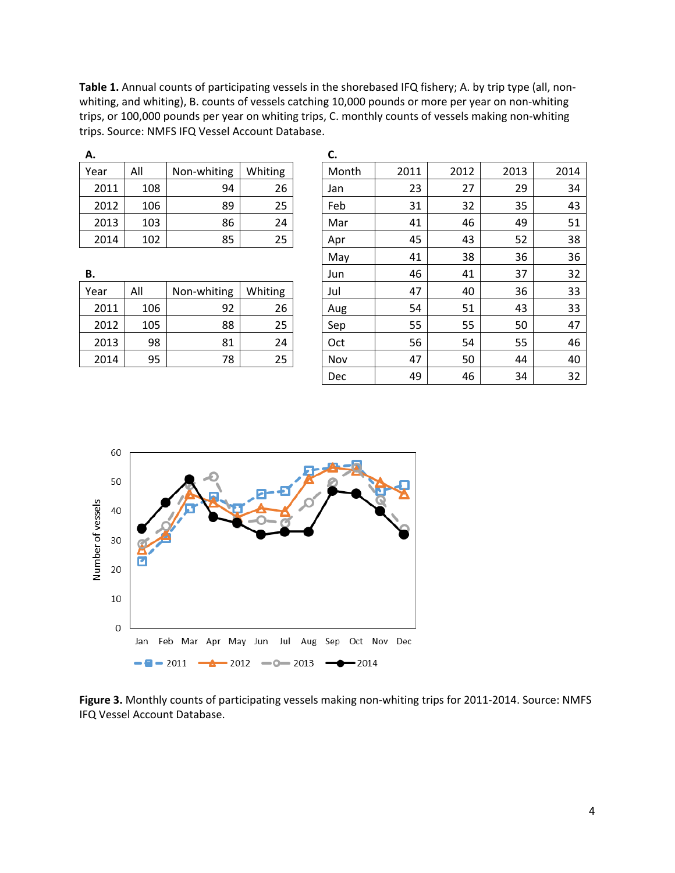**Table 1.** Annual counts of participating vessels in the shorebased IFQ fishery; A. by trip type (all, nonwhiting, and whiting), B. counts of vessels catching 10,000 pounds or more per year on non-whiting trips, or 100,000 pounds per year on whiting trips, C. monthly counts of vessels making non-whiting trips. Source: NMFS IFQ Vessel Account Database.

| А.   |     |             |         | с. |
|------|-----|-------------|---------|----|
| Year | All | Non-whiting | Whiting | M  |
| 2011 | 108 | 94          | 26      | Ja |
| 2012 | 106 | 89          | 25      | Fe |
| 2013 | 103 | 86          | 24      | M  |
| 2014 | 102 | 85          | 25      |    |

| All | Non-whiting | Whiting |
|-----|-------------|---------|
| 106 | 92          | 26      |
| 105 | 88          | 25      |
| 98  | 81          | 24      |
| 95  | 78          | 25      |
|     |             |         |

| Year | All | Non-whiting | Whiting | Month      | 2011 | 2012 | 2013 | 2014 |
|------|-----|-------------|---------|------------|------|------|------|------|
| 2011 | 108 | 94          | 26      | Jan        | 23   | 27   | 29   | 34   |
| 2012 | 106 | 89          | 25      | Feb        | 31   | 32   | 35   | 43   |
| 2013 | 103 | 86          | 24      | Mar        | 41   | 46   | 49   | 51   |
| 2014 | 102 | 85          | 25      | Apr        | 45   | 43   | 52   | 38   |
|      |     |             |         | May        | 41   | 38   | 36   | 36   |
| В.   |     |             |         | Jun        | 46   | 41   | 37   | 32   |
| Year | All | Non-whiting | Whiting | Jul        | 47   | 40   | 36   | 33   |
| 2011 | 106 | 92          | 26      | Aug        | 54   | 51   | 43   | 33   |
| 2012 | 105 | 88          | 25      | Sep        | 55   | 55   | 50   | 47   |
| 2013 | 98  | 81          | 24      | Oct        | 56   | 54   | 55   | 46   |
| 2014 | 95  | 78          | 25      | Nov        | 47   | 50   | 44   | 40   |
|      |     |             |         | <b>Dec</b> | 49   | 46   | 34   | 32   |
|      |     |             |         |            |      |      |      |      |



<span id="page-5-0"></span>**Figure 3.** Monthly counts of participating vessels making non-whiting trips for 2011-2014. Source: NMFS IFQ Vessel Account Database.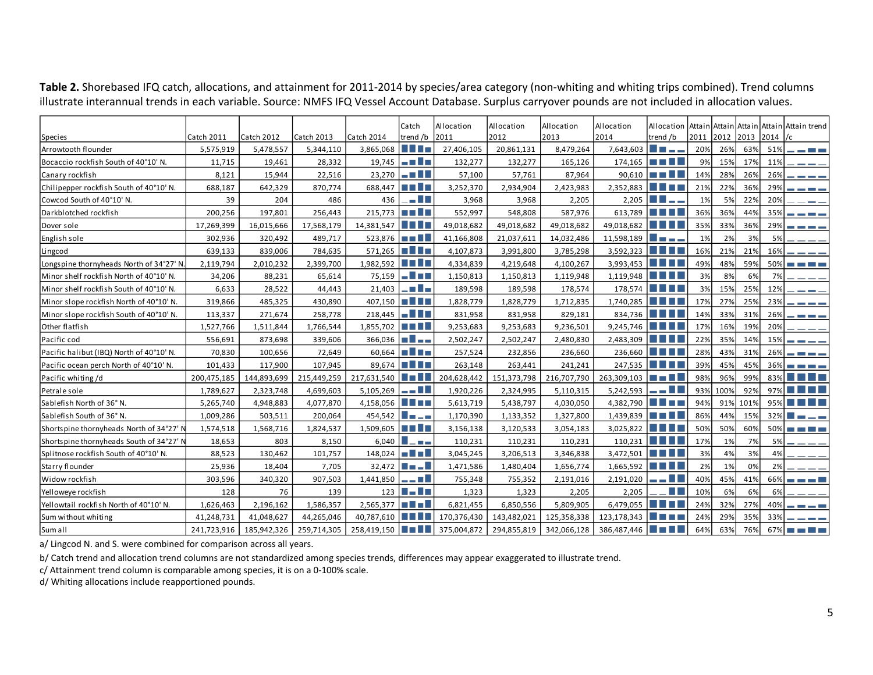|                                          |             |                   |             |                                           | Catch                                  | Allocation  | Allocation  | Allocation  | Allocation                                  |                                                                                                                     |      |          |      |        | Allocation Attain Attain Attain Attain Attain trend |
|------------------------------------------|-------------|-------------------|-------------|-------------------------------------------|----------------------------------------|-------------|-------------|-------------|---------------------------------------------|---------------------------------------------------------------------------------------------------------------------|------|----------|------|--------|-----------------------------------------------------|
| Species                                  | Catch 2011  | <b>Catch 2012</b> | Catch 2013  | Catch 2014                                | trend /b                               | 2011        | 2012        | 2013        | 2014                                        | trend /b                                                                                                            | 2011 | 2012     | 2013 | 2014   | 1/c                                                 |
| Arrowtooth flounder                      | 5,575,919   | 5,478,557         | 5,344,110   | 3,865,068                                 | <u> Titl</u>                           | 27,406,105  | 20,861,131  | 8,479,264   | $7,643,603$ $\Box$ $\Box$ $\Box$ $\Box$     |                                                                                                                     | 20%  | 26%      | 63%  | 51%    | _ _ _ _                                             |
| Bocaccio rockfish South of 40°10' N.     | 11,715      | 19,461            | 28,332      |                                           | $19,745$ $\blacksquare$ $\blacksquare$ | 132,277     | 132,277     | 165,126     |                                             | $174,165$ $\blacksquare$ $\blacksquare$                                                                             | 9%   | 15%      | 17%  | 11%    |                                                     |
| Canary rockfish                          | 8,121       | 15,944            | 22,516      | 23,270                                    | $-$ and $\blacksquare$                 | 57,100      | 57,761      | 87,964      |                                             | $90,610$ $\blacksquare$ $\blacksquare$                                                                              | 14%  | 28%      | 26%  | 26%    | ----                                                |
| Chilipepper rockfish South of 40°10' N.  | 688,187     | 642,329           | 870,774     | 688,447                                   | <u>to a lit</u>                        | 3,252,370   | 2,934,904   | 2,423,983   | 2,352,883                                   | <u> El Es</u>                                                                                                       | 21%  | 22%      | 36%  | 29%    | ----                                                |
| Cowcod South of 40°10' N.                | 39          | 204               | 486         | 436                                       | . E L                                  | 3,968       | 3,968       | 2,205       |                                             | $2,205$ $\blacksquare$ $\blacksquare$ $\blacksquare$                                                                | 1%   | 5%       | 22%  | 20%    | $\sim$ $-$                                          |
| Darkblotched rockfish                    | 200,256     | 197,801           | 256,443     | $215,773$ $\Box$                          |                                        | 552,997     | 548,808     | 587,976     |                                             | 613,789 $\Box$                                                                                                      | 36%  | 36%      | 44%  | 35%    | and the first state                                 |
| Dover sole                               | 17,269,399  | 16,015,666        | 17,568,179  | 14,381,547                                | <u>Filipina</u>                        | 49,018,682  | 49,018,682  | 49,018,682  | 49,018,682 ■■■■■                            |                                                                                                                     | 35%  | 33%      | 36%  | 29%    | and the control of the                              |
| English sole                             | 302,936     | 320,492           | 489,717     | $523,876$ $\blacksquare$                  |                                        | 41,166,808  | 21,037,611  | 14,032,486  | 11,598,189                                  | 1 II – – –                                                                                                          | 1%   | 2%       | 3%   | 5%     |                                                     |
| Lingcod                                  | 639,133     | 839,006           | 784,635     | $571,265$ $\blacksquare$ $\blacksquare$   |                                        | 4,107,873   | 3,991,800   | 3,785,298   | $3,592,323$ $\Box$                          |                                                                                                                     | 16%  | 21%      | 21%  | 16%    | ----                                                |
| Longspine thornyheads North of 34°27' N  | 2,119,794   | 2,010,232         | 2,399,700   | $1,982,592$ $\blacksquare$                |                                        | 4,334,839   | 4,219,648   | 4,100,267   | $3,993,453$ $\Box$                          |                                                                                                                     | 49%  | 48%      | 59%  | 50%    | <u> Bandari Ba</u>                                  |
| Minor shelf rockfish North of 40°10' N.  | 34,206      | 88,231            | 65,614      | 75,159                                    | a 1 mi                                 | 1,150,813   | 1,150,813   | 1,119,948   | 1,119,948                                   |                                                                                                                     | 3%   | 8%       | 6%   | 7%     |                                                     |
| Minor shelf rockfish South of 40°10' N.  | 6,633       | 28,522            | 44,443      | 21,403                                    |                                        | 189,598     | 189,598     | 178,574     |                                             | 178,574 ■■■■                                                                                                        | 3%   | 15%      | 25%  | 12%    | $- - -$                                             |
| Minor slope rockfish North of 40°10' N.  | 319,866     | 485,325           | 430,890     | $407,150$ $\blacksquare$ $\blacksquare$   |                                        | 1,828,779   | 1,828,779   | 1,712,835   | $1,740,285$ $\blacksquare$ $\blacksquare$   |                                                                                                                     | 17%  | 27%      | 25%  | 23%    | $   -$                                              |
| Minor slope rockfish South of 40°10' N.  | 113,337     | 271,674           | 258,778     | $218,445$ $\blacksquare$ $\blacksquare$   |                                        | 831,958     | 831,958     | 829,181     |                                             | 834,736 <b>THE</b>                                                                                                  | 14%  | 33%      | 31%  | 26%    | - - - -                                             |
| Other flatfish                           | 1,527,766   | 1,511,844         | 1,766,544   | $1,855,702$ $\blacksquare$                |                                        | 9,253,683   | 9,253,683   | 9,236,501   | 9,245,746                                   | <u> I de la p</u>                                                                                                   | 17%  | 16%      | 19%  | 20%    | ----                                                |
| Pacific cod                              | 556,691     | 873,698           | 339,606     | $366,036$ $\blacksquare$ $\blacksquare$   |                                        | 2,502,247   | 2,502,247   | 2,480,830   | 2,483,309                                   | <b>The Common</b>                                                                                                   | 22%  | 35%      | 14%  | 15%    | ----                                                |
| Pacific halibut (IBQ) North of 40°10' N. | 70,830      | 100,656           | 72,649      |                                           | $60,664$ $\blacksquare$ $\blacksquare$ | 257,524     | 232,856     | 236,660     |                                             | 236,660 $\Box$                                                                                                      | 28%  | 43%      | 31%  | 26%    | <b>DE DE LA</b>                                     |
| Pacific ocean perch North of 40°10' N.   | 101,433     | 117,900           | 107,945     |                                           | 89,674 <b>III</b>                      | 263,148     | 263,441     | 241,241     |                                             | 247,535 $\Box$                                                                                                      | 39%  | 45%      | 45%  | 36%    | and the first                                       |
| Pacific whiting/d                        | 200,475,185 | 144,893,699       | 215,449,259 | 217,631,540 $\blacksquare$                |                                        | 204,628,442 | 151,373,798 | 216,707,790 | $263,309,103$ $\blacksquare$ $\blacksquare$ |                                                                                                                     | 98%  | 96%      | 99%  | 83%    | <u> El Britannia de la p</u>                        |
| Petrale sole                             | 1,789,627   | 2,323,748         | 4,699,603   | $5,105,269$ $\blacksquare$ $\blacksquare$ |                                        | 1,920,226   | 2,324,995   | 5,110,315   | $5,242,593$ $\Box$                          |                                                                                                                     |      | 93% 100% | 92%  |        | $97\%$ $\blacksquare$ $\blacksquare$ $\blacksquare$ |
| Sablefish North of 36° N.                | 5,265,740   | 4,948,883         | 4,077,870   | $4,158,056$ $\blacksquare$                |                                        | 5,613,719   | 5,438,797   | 4,030,050   | $4,382,790$ $\Box$                          |                                                                                                                     | 94%  | 91%      | 101% |        | 95% $\blacksquare$                                  |
| Sablefish South of 36° N.                | 1,009,286   | 503,511           | 200,064     | $454,542$ $\Box$                          |                                        | 1,170,390   | 1,133,352   | 1,327,800   | $1,439,839$ $\blacksquare$ $\blacksquare$   |                                                                                                                     | 86%  | 44%      | 15%  |        | $32\%$ $\Box$<br>$\overline{\phantom{a}}$           |
| Shortspine thornyheads North of 34°27' N | 1,574,518   | 1,568,716         | 1,824,537   | 1,509,605                                 | <b>THE REA</b>                         | 3,156,138   | 3,120,533   | 3,054,183   | 3,025,822                                   | <u> I de la</u>                                                                                                     | 50%  | 50%      | 60%  |        | $50\%$ $\blacksquare$ $\blacksquare$ $\blacksquare$ |
| Shortspine thornyheads South of 34°27' N | 18,653      | 803               | 8,150       | $6,040$                                   | $\overline{a}$ . $\overline{a}$        | 110,231     | 110,231     | 110,231     |                                             | $110,231$ $\blacksquare$ $\blacksquare$                                                                             | 17%  | 1%       | 7%   | 5%     |                                                     |
| Splitnose rockfish South of 40°10' N.    | 88,523      | 130,462           | 101,757     | $148,024$ $\blacksquare$ $\blacksquare$   |                                        | 3,045,245   | 3,206,513   | 3,346,838   | $3,472,501$ $\blacksquare$ $\blacksquare$   |                                                                                                                     | 3%   | 4%       | 3%   | 4%     |                                                     |
| Starry flounder                          | 25,936      | 18,404            | 7,705       |                                           | $32,472$ $\blacksquare$ $\blacksquare$ | 1,471,586   | 1,480,404   | 1,656,774   | $1,665,592$ $\Box$                          |                                                                                                                     | 2%   | 1%       | 0%   | 2%     |                                                     |
| Widow rockfish                           | 303,596     | 340,320           | 907,503     | 1,441,850                                 | n N                                    | 755,348     | 755,352     | 2,191,016   | 2,191,020                                   |                                                                                                                     | 40%  | 45%      | 41%  | 66%    | <b>The Common Street</b>                            |
| Yelloweye rockfish                       | 128         | 76                | 139         |                                           | $123$ $\blacksquare$ $\blacksquare$    | 1,323       | 1,323       | 2,205       | 2,205                                       | a ma                                                                                                                | 10%  | 6%       | 6%   | 6%     |                                                     |
| Yellowtail rockfish North of 40°10' N.   | 1,626,463   | 2,196,162         | 1,586,357   | $2,565,377$ $\blacksquare$ $\blacksquare$ |                                        | 6,821,455   | 6,850,556   | 5,809,905   | 6,479,055                                   | <u> 1958 - 1959 - 1959 - 1959 - 1959 - 1959 - 1959 - 1959 - 1959 - 1959 - 1959 - 1959 - 1959 - 1959 - 1959 - 19</u> | 24%  | 32%      | 27%  | 40%    |                                                     |
| Sum without whiting                      | 41,248,731  | 41,048,627        | 44,265,046  | 40,787,610 ■■■■                           |                                        | 170,376,430 | 143,482,021 | 125,358,338 | 123,178,343                                 | H I T<br><b>The Contract</b>                                                                                        | 24%  | 29%      | 35%  | 33%    | and the first property                              |
| Sum all                                  | 241,723,916 | 185,942,326       | 259,714,305 | 258,419,150 ■■■■                          |                                        | 375,004,872 | 294,855,819 | 342,066,128 | $386,487,446$ $\Box$                        |                                                                                                                     | 64%  | 63%      | 76%  | $67\%$ | <u>rans and</u>                                     |

**Table 2.** Shorebased IFQ catch, allocations, and attainment for 2011-2014 by species/area category (non-whiting and whiting trips combined). Trend columns illustrate interannual trends in each variable. Source: NMFS IFQ Vessel Account Database. Surplus carryover pounds are not included in allocation values.

a/ Lingcod N. and S. were combined for comparison across all years.

b/ Catch trend and allocation trend columns are not standardized among species trends, differences may appear exaggerated to illustrate trend.

c/ Attainment trend column is comparable among species, it is on a 0-100% scale.

d/ Whiting allocations include reapportioned pounds.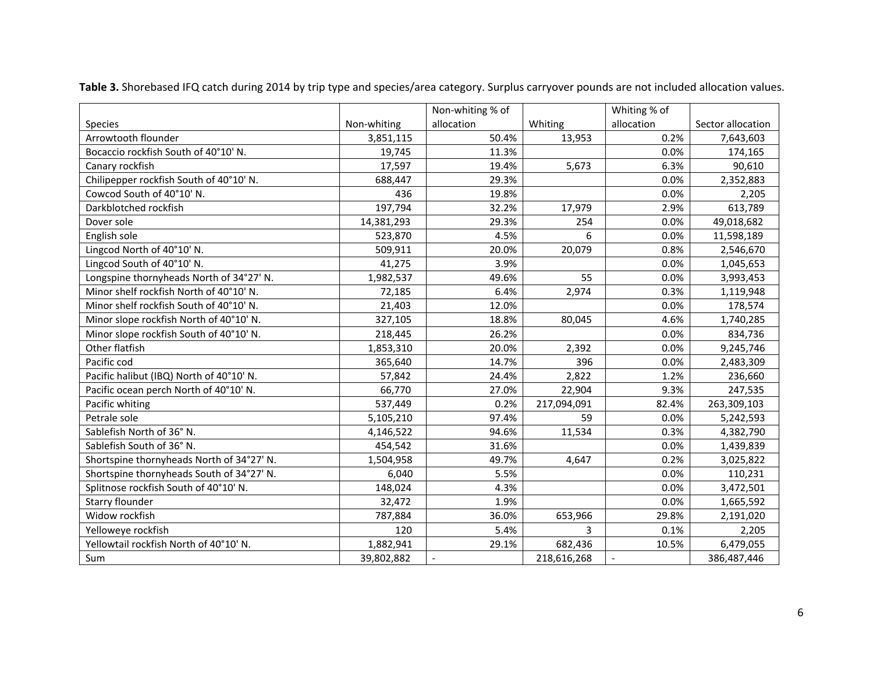|                                           |             | Non-whiting % of |             | Whiting % of |                   |
|-------------------------------------------|-------------|------------------|-------------|--------------|-------------------|
| Species                                   | Non-whiting | allocation       | Whiting     | allocation   | Sector allocation |
| Arrowtooth flounder                       | 3,851,115   | 50.4%            | 13,953      | 0.2%         | 7,643,603         |
| Bocaccio rockfish South of 40°10' N.      | 19,745      | 11.3%            |             | 0.0%         | 174,165           |
| Canary rockfish                           | 17,597      | 19.4%            | 5,673       | 6.3%         | 90,610            |
| Chilipepper rockfish South of 40°10' N.   | 688,447     | 29.3%            |             | 0.0%         | 2,352,883         |
| Cowcod South of 40°10' N.                 | 436         | 19.8%            |             | 0.0%         | 2,205             |
| Darkblotched rockfish                     | 197,794     | 32.2%            | 17,979      | 2.9%         | 613,789           |
| Dover sole                                | 14,381,293  | 29.3%            | 254         | 0.0%         | 49,018,682        |
| English sole                              | 523,870     | 4.5%             | 6           | 0.0%         | 11,598,189        |
| Lingcod North of 40°10' N.                | 509,911     | 20.0%            | 20,079      | 0.8%         | 2,546,670         |
| Lingcod South of 40°10' N.                | 41,275      | 3.9%             |             | 0.0%         | 1,045,653         |
| Longspine thornyheads North of 34°27' N.  | 1,982,537   | 49.6%            | 55          | 0.0%         | 3,993,453         |
| Minor shelf rockfish North of 40°10' N.   | 72,185      | 6.4%             | 2,974       | 0.3%         | 1,119,948         |
| Minor shelf rockfish South of 40°10' N.   | 21,403      | 12.0%            |             | 0.0%         | 178,574           |
| Minor slope rockfish North of 40°10' N.   | 327,105     | 18.8%            | 80,045      | 4.6%         | 1,740,285         |
| Minor slope rockfish South of 40°10' N.   | 218,445     | 26.2%            |             | 0.0%         | 834,736           |
| Other flatfish                            | 1,853,310   | 20.0%            | 2,392       | 0.0%         | 9,245,746         |
| Pacific cod                               | 365,640     | 14.7%            | 396         | 0.0%         | 2,483,309         |
| Pacific halibut (IBQ) North of 40°10' N.  | 57,842      | 24.4%            | 2,822       | 1.2%         | 236,660           |
| Pacific ocean perch North of 40°10' N.    | 66,770      | 27.0%            | 22,904      | 9.3%         | 247,535           |
| Pacific whiting                           | 537,449     | 0.2%             | 217,094,091 | 82.4%        | 263,309,103       |
| Petrale sole                              | 5,105,210   | 97.4%            | 59          | 0.0%         | 5,242,593         |
| Sablefish North of 36° N.                 | 4,146,522   | 94.6%            | 11,534      | 0.3%         | 4,382,790         |
| Sablefish South of 36° N.                 | 454,542     | 31.6%            |             | 0.0%         | 1,439,839         |
| Shortspine thornyheads North of 34°27' N. | 1,504,958   | 49.7%            | 4,647       | 0.2%         | 3,025,822         |
| Shortspine thornyheads South of 34°27' N. | 6,040       | 5.5%             |             | 0.0%         | 110,231           |
| Splitnose rockfish South of 40°10' N.     | 148,024     | 4.3%             |             | 0.0%         | 3,472,501         |
| Starry flounder                           | 32,472      | 1.9%             |             | 0.0%         | 1,665,592         |
| Widow rockfish                            | 787,884     | 36.0%            | 653,966     | 29.8%        | 2,191,020         |
| Yelloweye rockfish                        | 120         | 5.4%             | 3           | 0.1%         | 2,205             |
| Yellowtail rockfish North of 40°10' N.    | 1,882,941   | 29.1%            | 682,436     | 10.5%        | 6,479,055         |
| Sum                                       | 39,802,882  | $\mathbf{r}$     | 218,616,268 |              | 386,487,446       |

**Table 3.** Shorebased IFQ catch during 2014 by trip type and species/area category. Surplus carryover pounds are not included allocation values.